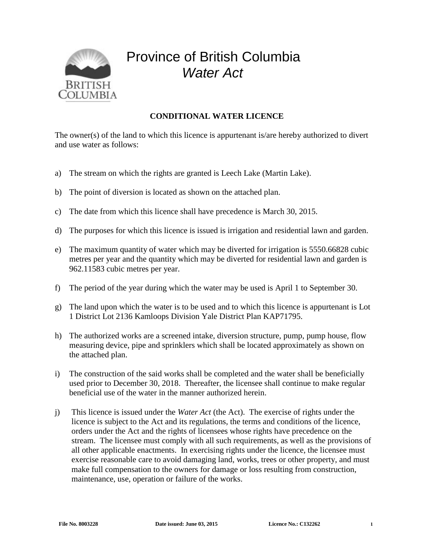

## Province of British Columbia *Water Act*

## **CONDITIONAL WATER LICENCE**

The owner(s) of the land to which this licence is appurtenant is/are hereby authorized to divert and use water as follows:

- a) The stream on which the rights are granted is Leech Lake (Martin Lake).
- b) The point of diversion is located as shown on the attached plan.
- c) The date from which this licence shall have precedence is March 30, 2015.
- d) The purposes for which this licence is issued is irrigation and residential lawn and garden.
- e) The maximum quantity of water which may be diverted for irrigation is 5550.66828 cubic metres per year and the quantity which may be diverted for residential lawn and garden is 962.11583 cubic metres per year.
- f) The period of the year during which the water may be used is April 1 to September 30.
- g) The land upon which the water is to be used and to which this licence is appurtenant is Lot 1 District Lot 2136 Kamloops Division Yale District Plan KAP71795.
- h) The authorized works are a screened intake, diversion structure, pump, pump house, flow measuring device, pipe and sprinklers which shall be located approximately as shown on the attached plan.
- i) The construction of the said works shall be completed and the water shall be beneficially used prior to December 30, 2018. Thereafter, the licensee shall continue to make regular beneficial use of the water in the manner authorized herein.
- j) This licence is issued under the *Water Act* (the Act). The exercise of rights under the licence is subject to the Act and its regulations, the terms and conditions of the licence, orders under the Act and the rights of licensees whose rights have precedence on the stream. The licensee must comply with all such requirements, as well as the provisions of all other applicable enactments. In exercising rights under the licence, the licensee must exercise reasonable care to avoid damaging land, works, trees or other property, and must make full compensation to the owners for damage or loss resulting from construction, maintenance, use, operation or failure of the works.